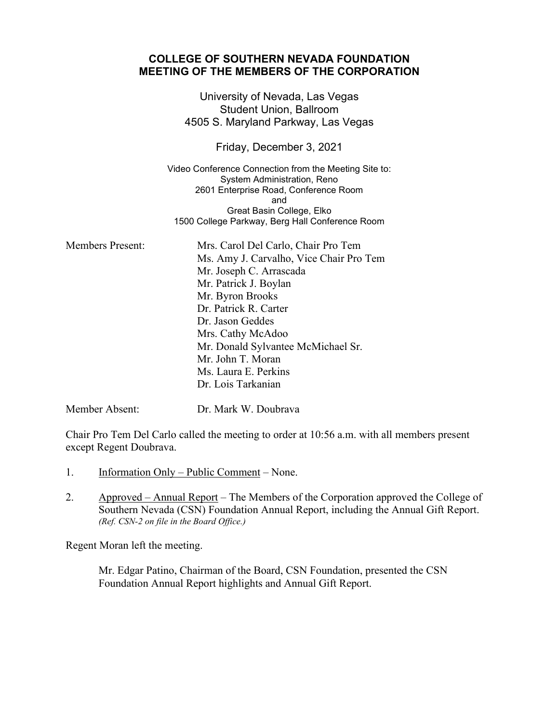## **COLLEGE OF SOUTHERN NEVADA FOUNDATION MEETING OF THE MEMBERS OF THE CORPORATION**

University of Nevada, Las Vegas Student Union, Ballroom 4505 S. Maryland Parkway, Las Vegas

Friday, December 3, 2021

Video Conference Connection from the Meeting Site to: System Administration, Reno 2601 Enterprise Road, Conference Room and Great Basin College, Elko 1500 College Parkway, Berg Hall Conference Room

| <b>Members Present:</b> | Mrs. Carol Del Carlo, Chair Pro Tem     |
|-------------------------|-----------------------------------------|
|                         | Ms. Amy J. Carvalho, Vice Chair Pro Tem |
|                         | Mr. Joseph C. Arrascada                 |
|                         | Mr. Patrick J. Boylan                   |
|                         | Mr. Byron Brooks                        |
|                         | Dr. Patrick R. Carter                   |
|                         | Dr. Jason Geddes                        |
|                         | Mrs. Cathy McAdoo                       |
|                         | Mr. Donald Sylvantee McMichael Sr.      |
|                         | Mr. John T. Moran                       |
|                         | Ms. Laura E. Perkins                    |
|                         | Dr. Lois Tarkanian                      |
|                         |                                         |

Member Absent: Dr. Mark W. Doubrava

Chair Pro Tem Del Carlo called the meeting to order at 10:56 a.m. with all members present except Regent Doubrava.

- 1. Information Only Public Comment None.
- 2. Approved Annual Report The Members of the Corporation approved the College of Southern Nevada (CSN) Foundation Annual Report, including the Annual Gift Report. *(Ref. CSN-2 on file in the Board Office.)*

Regent Moran left the meeting.

Mr. Edgar Patino, Chairman of the Board, CSN Foundation, presented the CSN Foundation Annual Report highlights and Annual Gift Report.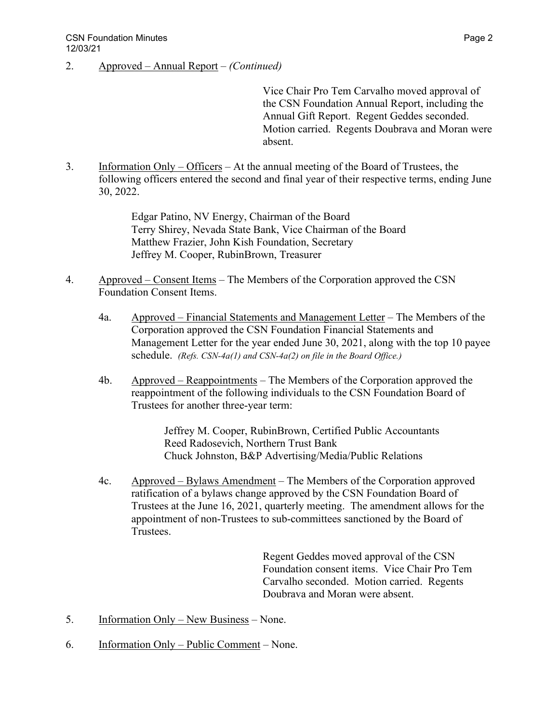2. Approved – Annual Report – *(Continued)*

Vice Chair Pro Tem Carvalho moved approval of the CSN Foundation Annual Report, including the Annual Gift Report. Regent Geddes seconded. Motion carried. Regents Doubrava and Moran were absent.

3. Information Only – Officers – At the annual meeting of the Board of Trustees, the following officers entered the second and final year of their respective terms, ending June 30, 2022.

> Edgar Patino, NV Energy, Chairman of the Board Terry Shirey, Nevada State Bank, Vice Chairman of the Board Matthew Frazier, John Kish Foundation, Secretary Jeffrey M. Cooper, RubinBrown, Treasurer

- 4. Approved Consent Items The Members of the Corporation approved the CSN Foundation Consent Items.
	- 4a. Approved Financial Statements and Management Letter The Members of the Corporation approved the CSN Foundation Financial Statements and Management Letter for the year ended June 30, 2021, along with the top 10 payee schedule. *(Refs. CSN-4a(1) and CSN-4a(2) on file in the Board Office.)*
	- 4b. Approved Reappointments The Members of the Corporation approved the reappointment of the following individuals to the CSN Foundation Board of Trustees for another three-year term:

Jeffrey M. Cooper, RubinBrown, Certified Public Accountants Reed Radosevich, Northern Trust Bank Chuck Johnston, B&P Advertising/Media/Public Relations

4c. Approved – Bylaws Amendment – The Members of the Corporation approved ratification of a bylaws change approved by the CSN Foundation Board of Trustees at the June 16, 2021, quarterly meeting. The amendment allows for the appointment of non-Trustees to sub-committees sanctioned by the Board of Trustees.

> Regent Geddes moved approval of the CSN Foundation consent items. Vice Chair Pro Tem Carvalho seconded. Motion carried. Regents Doubrava and Moran were absent.

- 5. Information Only New Business None.
- 6. Information Only Public Comment None.